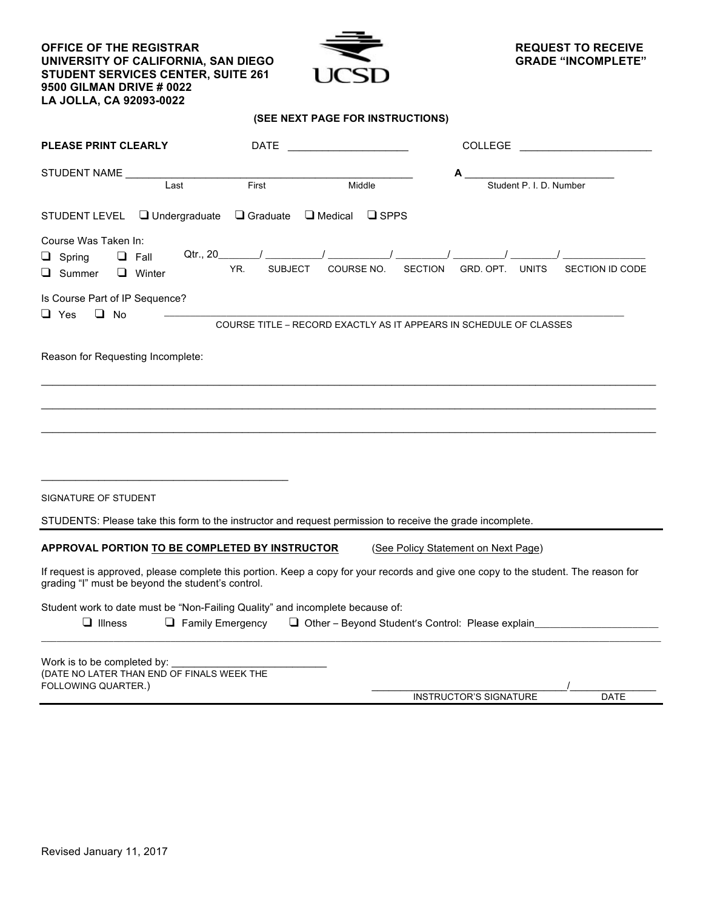**OFFICE OF THE REGISTRAR UNIVERSITY OF CALIFORNIA, SAN DIEGO STUDENT SERVICES CENTER, SUITE 261 9500 GILMAN DRIVE # 0022 LA JOLLA, CA 92093-0022**



#### **(SEE NEXT PAGE FOR INSTRUCTIONS)**

| <b>PLEASE PRINT CLEARLY</b>                                                                                                                                                              | DATE                    |                                  | COLLEGE                                                            |                         |  |
|------------------------------------------------------------------------------------------------------------------------------------------------------------------------------------------|-------------------------|----------------------------------|--------------------------------------------------------------------|-------------------------|--|
| STUDENT NAME<br>Last                                                                                                                                                                     | First<br>Middle         |                                  |                                                                    | Student P. I. D. Number |  |
| $\Box$ Undergraduate<br>STUDENT LEVEL                                                                                                                                                    | $\Box$ Graduate         | $\Box$ Medical<br>$\square$ SPPS |                                                                    |                         |  |
| Course Was Taken In:<br>Qtr., 20<br>$\Box$ Spring<br>$\Box$ Fall<br>$\Box$ Summer<br>$\Box$ Winter                                                                                       | YR.<br><b>SUBJECT</b>   | COURSE NO.                       | <b>SECTION</b><br>GRD. OPT.<br><b>UNITS</b>                        | <b>SECTION ID CODE</b>  |  |
| Is Course Part of IP Sequence?<br>$\Box$ Yes<br>$\Box$ No                                                                                                                                |                         |                                  | COURSE TITLE - RECORD EXACTLY AS IT APPEARS IN SCHEDULE OF CLASSES |                         |  |
| Reason for Requesting Incomplete:                                                                                                                                                        |                         |                                  |                                                                    |                         |  |
|                                                                                                                                                                                          |                         |                                  |                                                                    |                         |  |
| SIGNATURE OF STUDENT                                                                                                                                                                     |                         |                                  |                                                                    |                         |  |
| STUDENTS: Please take this form to the instructor and request permission to receive the grade incomplete.                                                                                |                         |                                  |                                                                    |                         |  |
| APPROVAL PORTION TO BE COMPLETED BY INSTRUCTOR                                                                                                                                           |                         |                                  | (See Policy Statement on Next Page)                                |                         |  |
| If request is approved, please complete this portion. Keep a copy for your records and give one copy to the student. The reason for<br>grading "I" must be beyond the student's control. |                         |                                  |                                                                    |                         |  |
| Student work to date must be "Non-Failing Quality" and incomplete because of:<br>$\Box$ Illness                                                                                          | $\Box$ Family Emergency |                                  | Other - Beyond Student's Control: Please explain                   |                         |  |
| Work is to be completed by:<br>(DATE NO LATER THAN END OF FINALS WEEK THE<br>FOLLOWING QUARTER.)                                                                                         |                         |                                  |                                                                    |                         |  |

INSTRUCTOR'S SIGNATURE DATE